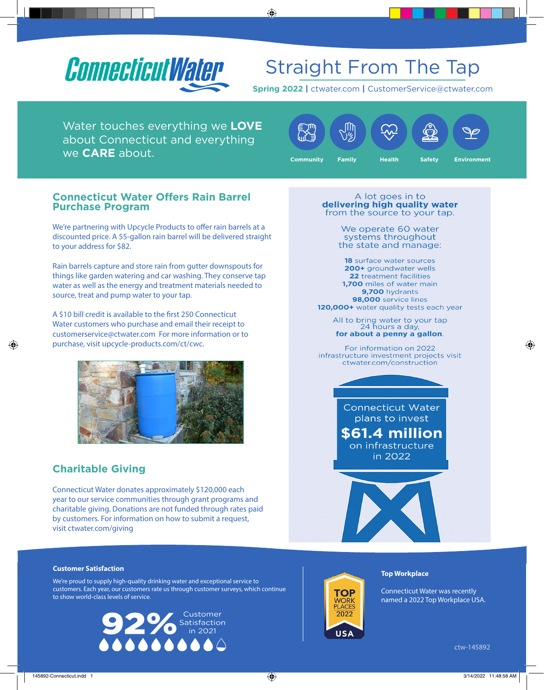

# Straight From The Tap

**Spring 2022 |** ctwater.com **|** CustomerService@ctwater.com

Water touches everything we **LOVE** about Connecticut and everything we **CARE** about.



#### **Connecticut Water Offers Rain Barrel Purchase Program**

We're partnering with Upcycle Products to offer rain barrels at a discounted price. A 55-gallon rain barrel will be delivered straight to your address for \$82.

Rain barrels capture and store rain from gutter downspouts for things like garden watering and car washing. They conserve tap water as well as the energy and treatment materials needed to source, treat and pump water to your tap.

A \$10 bill credit is available to the first 250 Connecticut Water customers who purchase and email their receipt to customerservice@ctwater.com For more information or to purchase, visit upcycle-products.com/ct/cwc.



### **Charitable Giving**

Connecticut Water donates approximately \$120,000 each year to our service communities through grant programs and charitable giving. Donations are not funded through rates paid by customers. For information on how to submit a request, visit ctwater.com/giving

A lot goes in to delivering high quality water from the source to your tap.

> We operate 60 water systems throughout the state and manage:

18 surface water sources 200+ groundwater wells 22 treatment facilities 1,700 miles of water main 9,700 hydrants 98,000 service lines 120,000+ water quality tests each year

All to bring water to your tap<br>24 hours a day, for about a penny a gallon.

For information on 2022 infrastructure investment projects visit ctwater.com/construction

> **Connecticut Water** plans to invest **\$61.4 million** on infrastructure in 2022

#### **Customer Satisfaction**

We're proud to supply high-quality drinking water and exceptional service to customers. Each year, our customers rate us through customer surveys, which continue to show world-class levels of service.





#### **Top Workplace**

Connecticut Water was recently named a 2022 Top Workplace USA.